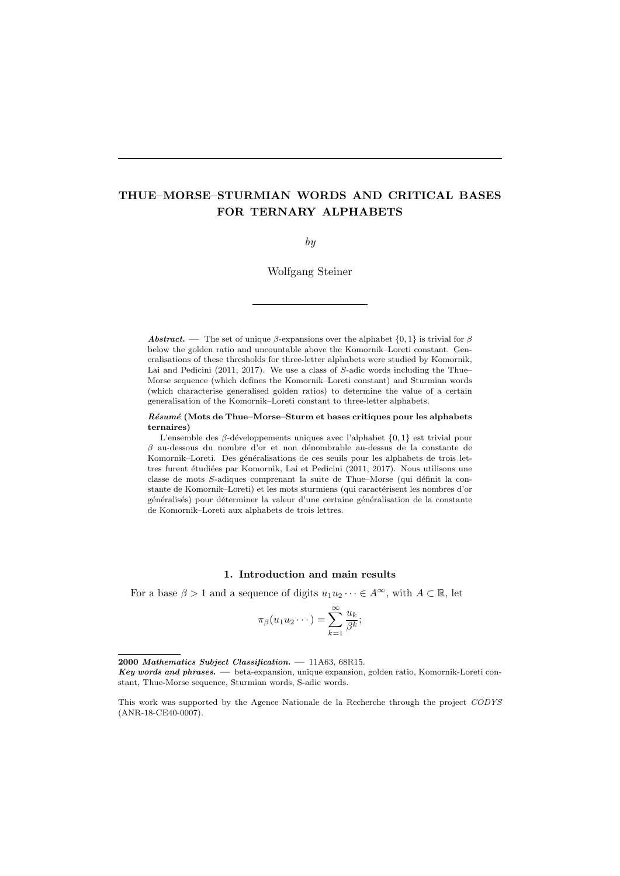# THUE–MORSE–STURMIAN WORDS AND CRITICAL BASES FOR TERNARY ALPHABETS

by

Wolfgang Steiner

**Abstract.** — The set of unique β-expansions over the alphabet  $\{0, 1\}$  is trivial for β below the golden ratio and uncountable above the Komornik–Loreti constant. Generalisations of these thresholds for three-letter alphabets were studied by Komornik, Lai and Pedicini (2011, 2017). We use a class of S-adic words including the Thue– Morse sequence (which defines the Komornik–Loreti constant) and Sturmian words (which characterise generalised golden ratios) to determine the value of a certain generalisation of the Komornik–Loreti constant to three-letter alphabets.

Résumé (Mots de Thue–Morse–Sturm et bases critiques pour les alphabets ternaires)

L'ensemble des  $\beta$ -développements uniques avec l'alphabet  $\{0,1\}$  est trivial pour  $\beta$  au-dessous du nombre d'or et non dénombrable au-dessus de la constante de Komornik–Loreti. Des généralisations de ces seuils pour les alphabets de trois lettres furent étudiées par Komornik, Lai et Pedicini (2011, 2017). Nous utilisons une classe de mots  $S$ -adiques comprenant la suite de Thue–Morse (qui définit la constante de Komornik–Loreti) et les mots sturmiens (qui caractérisent les nombres d'or généralisés) pour déterminer la valeur d'une certaine généralisation de la constante de Komornik–Loreti aux alphabets de trois lettres.

# 1. Introduction and main results

For a base  $\beta > 1$  and a sequence of digits  $u_1u_2\cdots \in A^{\infty}$ , with  $A \subset \mathbb{R}$ , let

$$
\pi_{\beta}(u_1u_2\cdots)=\sum_{k=1}^{\infty}\frac{u_k}{\beta^k};
$$

<sup>2000</sup> Mathematics Subject Classification. — 11A63, 68R15.

Key words and phrases. — beta-expansion, unique expansion, golden ratio, Komornik-Loreti constant, Thue-Morse sequence, Sturmian words, S-adic words.

This work was supported by the Agence Nationale de la Recherche through the project CODYS (ANR-18-CE40-0007).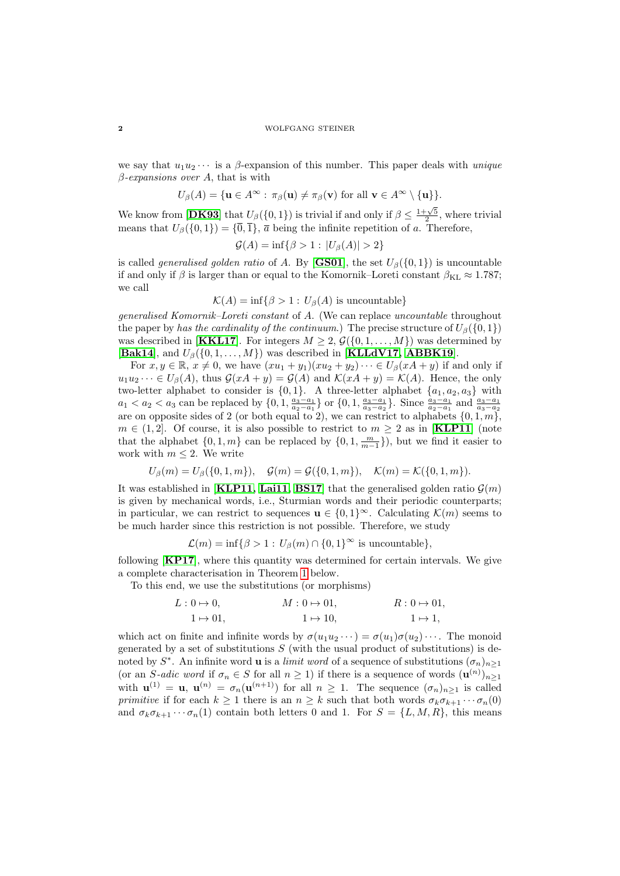we say that  $u_1u_2\cdots$  is a  $\beta$ -expansion of this number. This paper deals with *unique*  $\beta$ -expansions over A, that is with

$$
U_{\beta}(A) = \{ \mathbf{u} \in A^{\infty} : \pi_{\beta}(\mathbf{u}) \neq \pi_{\beta}(\mathbf{v}) \text{ for all } \mathbf{v} \in A^{\infty} \setminus \{\mathbf{u}\} \}.
$$

We know from [[DK93](#page-11-0)] that  $U_\beta(\{0,1\})$  is trivial if and only if  $\beta \leq \frac{1+\sqrt{5}}{2}$ , where trivial means that  $U_\beta({0, 1}) = {\overline{0}, \overline{1}}, \overline{a}$  being the infinite repetition of a. Therefore,

$$
\mathcal{G}(A) = \inf \{ \beta > 1 : |U_{\beta}(A)| > 2 \}
$$

is called *generalised golden ratio* of A. By [[GS01](#page-11-1)], the set  $U_\beta({0, 1})$  is uncountable if and only if  $\beta$  is larger than or equal to the Komornik–Loreti constant  $\beta_{KL} \approx 1.787$ ; we call

$$
\mathcal{K}(A) = \inf \{ \beta > 1 : U_{\beta}(A) \text{ is uncountable} \}
$$

generalised Komornik–Loreti constant of A. (We can replace uncountable throughout the paper by has the cardinality of the continuum.) The precise structure of  $U_\beta({0, 1})$ was described in [**[KKL17](#page-12-0)**]. For integers  $M \geq 2$ ,  $\mathcal{G}(\{0, 1, ..., M\})$  was determined by [[Bak14](#page-11-2)], and  $U_\beta(\{0, 1, ..., M\})$  was described in [[KLLdV17,](#page-12-1) [ABBK19](#page-11-3)].

For  $x, y \in \mathbb{R}, x \neq 0$ , we have  $(xu_1 + y_1)(xu_2 + y_2) \cdots \in U_\beta(xA + y)$  if and only if  $u_1u_2\cdots\in U_\beta(A)$ , thus  $\mathcal{G}(xA+y)=\mathcal{G}(A)$  and  $\mathcal{K}(xA+y)=\mathcal{K}(A)$ . Hence, the only two-letter alphabet to consider is  $\{0,1\}$ . A three-letter alphabet  $\{a_1, a_2, a_3\}$  with  $a_1 < a_2 < a_3$  can be replaced by  $\{0, 1, \frac{a_3 - a_1}{a_2 - a_1}\}$  or  $\{0, 1, \frac{a_3 - a_1}{a_3 - a_2}\}$ . Since  $\frac{a_3 - a_1}{a_2 - a_1}$  and  $\frac{a_3 - a_1}{a_3 - a_2}$ are on opposite sides of 2 (or both equal to 2), we can restrict to alphabets  $\{0, 1, m\}$ ,  $m \in (1, 2]$ . Of course, it is also possible to restrict to  $m \geq 2$  as in [**[KLP11](#page-12-2)**] (note that the alphabet  $\{0, 1, m\}$  can be replaced by  $\{0, 1, \frac{m}{m-1}\}\)$ , but we find it easier to work with  $m \leq 2$ . We write

$$
U_{\beta}(m) = U_{\beta}(\{0, 1, m\}), \quad \mathcal{G}(m) = \mathcal{G}(\{0, 1, m\}), \quad \mathcal{K}(m) = \mathcal{K}(\{0, 1, m\}).
$$

It was established in [**[KLP11,](#page-12-2) [Lai11,](#page-12-3) [BS17](#page-11-4)**] that the generalised golden ratio  $\mathcal{G}(m)$ is given by mechanical words, i.e., Sturmian words and their periodic counterparts; in particular, we can restrict to sequences  $\mathbf{u} \in \{0,1\}^{\infty}$ . Calculating  $\mathcal{K}(m)$  seems to be much harder since this restriction is not possible. Therefore, we study

$$
\mathcal{L}(m) = \inf \{ \beta > 1 : U_{\beta}(m) \cap \{0,1\}^{\infty} \text{ is uncountable} \},
$$

following [[KP17](#page-12-4)], where this quantity was determined for certain intervals. We give a complete characterisation in Theorem [1](#page-2-0) below.

To this end, we use the substitutions (or morphisms)

$$
L: 0 \to 0,
$$
  
\n
$$
1 \to 01,
$$
  
\n
$$
M: 0 \to 01,
$$
  
\n
$$
1 \to 10,
$$
  
\n
$$
1 \to 1,
$$
  
\n
$$
1 \to 1,
$$

which act on finite and infinite words by  $\sigma(u_1u_2\cdots) = \sigma(u_1)\sigma(u_2)\cdots$ . The monoid generated by a set of substitutions  $S$  (with the usual product of substitutions) is denoted by  $S^*$ . An infinite word **u** is a *limit word* of a sequence of substitutions  $(\sigma_n)_{n\geq 1}$ (or an S-adic word if  $\sigma_n \in S$  for all  $n \geq 1$ ) if there is a sequence of words  $(\mathbf{u}^{(n)})_{n \geq 1}$ with  $\mathbf{u}^{(1)} = \mathbf{u}, \mathbf{u}^{(n)} = \sigma_n(\mathbf{u}^{(n+1)})$  for all  $n \geq 1$ . The sequence  $(\sigma_n)_{n \geq 1}$  is called primitive if for each  $k \geq 1$  there is an  $n \geq k$  such that both words  $\sigma_k \sigma_{k+1} \cdots \sigma_n(0)$ and  $\sigma_k \sigma_{k+1} \cdots \sigma_n(1)$  contain both letters 0 and 1. For  $S = \{L, M, R\}$ , this means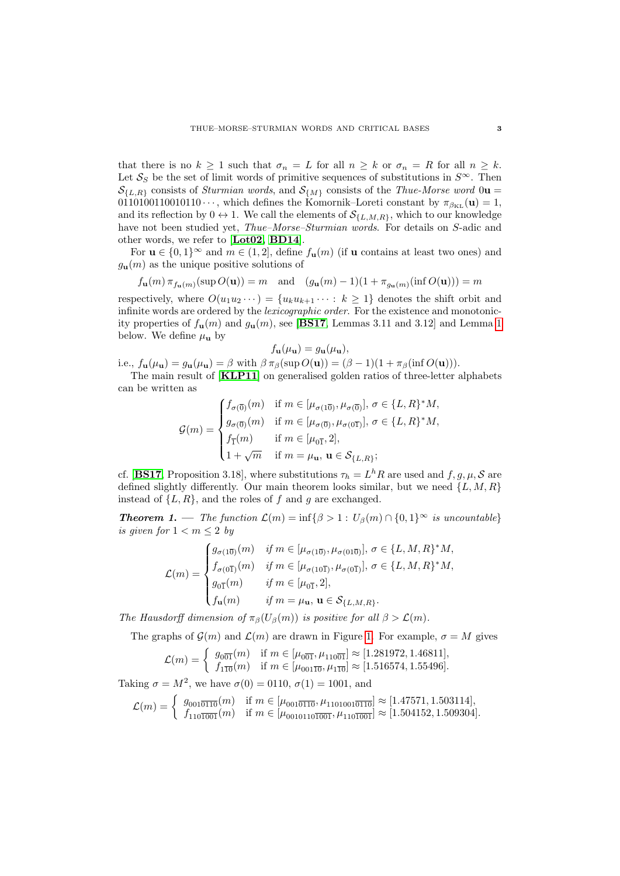that there is no  $k \geq 1$  such that  $\sigma_n = L$  for all  $n \geq k$  or  $\sigma_n = R$  for all  $n \geq k$ . Let  $S_S$  be the set of limit words of primitive sequences of substitutions in  $S^{\infty}$ . Then  $\mathcal{S}_{\{L,R\}}$  consists of *Sturmian words*, and  $\mathcal{S}_{\{M\}}$  consists of the *Thue-Morse word* 0u = 0110100110010110  $\cdots$ , which defines the Komornik–Loreti constant by  $\pi_{\beta_{\text{KL}}}(\mathbf{u}) = 1$ , and its reflection by  $0 \leftrightarrow 1$ . We call the elements of  $\mathcal{S}_{\{L,M,R\}}$ , which to our knowledge have not been studied yet, *Thue–Morse–Sturmian words*. For details on S-adic and other words, we refer to [[Lot02,](#page-12-5) [BD14](#page-11-5)].

For  $\mathbf{u} \in \{0,1\}^{\infty}$  and  $m \in (1,2]$ , define  $f_{\mathbf{u}}(m)$  (if  $\mathbf{u}$  contains at least two ones) and  $g_{\mathbf{u}}(m)$  as the unique positive solutions of

$$
f_{\mathbf{u}}(m) \pi_{f_{\mathbf{u}}(m)}(\sup O(\mathbf{u})) = m \quad \text{and} \quad (g_{\mathbf{u}}(m) - 1)(1 + \pi_{g_{\mathbf{u}}(m)}(\inf O(\mathbf{u}))) = m
$$

respectively, where  $O(u_1u_2\cdots) = \{u_ku_{k+1}\cdots : k\geq 1\}$  denotes the shift orbit and infinite words are ordered by the *lexicographic order*. For the existence and monotonicity properties of  $f_{\bf{u}}(m)$  and  $g_{\bf{u}}(m)$ , see [[BS17](#page-11-4), Lemmas 3.11 and 3.12] and Lemma [1](#page-4-0) below. We define  $\mu_{\mathbf{u}}$  by

$$
f_{\mathbf{u}}(\mu_{\mathbf{u}}) = g_{\mathbf{u}}(\mu_{\mathbf{u}}),
$$

i.e.,  $f_{\mathbf{u}}(\mu_{\mathbf{u}}) = g_{\mathbf{u}}(\mu_{\mathbf{u}}) = \beta$  with  $\beta \pi_{\beta}(\sup O(\mathbf{u})) = (\beta - 1)(1 + \pi_{\beta}(\inf O(\mathbf{u}))).$ 

The main result of [[KLP11](#page-12-2)] on generalised golden ratios of three-letter alphabets can be written as

$$
\mathcal{G}(m) = \begin{cases} f_{\sigma(\overline{0})}(m) & \text{if } m \in [\mu_{\sigma(1\overline{0})}, \mu_{\sigma(\overline{0})}], \sigma \in \{L, R\}^* M, \\ g_{\sigma(\overline{0})}(m) & \text{if } m \in [\mu_{\sigma(\overline{0})}, \mu_{\sigma(0\overline{1})}], \sigma \in \{L, R\}^* M, \\ f_{\overline{1}}(m) & \text{if } m \in [\mu_{0\overline{1}}, 2], \\ 1 + \sqrt{m} & \text{if } m = \mu_{\mathbf{u}}, \mathbf{u} \in \mathcal{S}_{\{L, R\}}; \end{cases}
$$

cf. [[BS17](#page-11-4), Proposition 3.18], where substitutions  $\tau_h = L^h R$  are used and  $f, g, \mu, \mathcal{S}$  are defined slightly differently. Our main theorem looks similar, but we need  $\{L, M, R\}$ instead of  $\{L, R\}$ , and the roles of f and q are exchanged.

<span id="page-2-0"></span>**Theorem 1.** — The function  $\mathcal{L}(m) = \inf \{ \beta > 1 : U_\beta(m) \cap \{0,1\}^\infty \text{ is uncountable} \}$ is given for  $1 < m \leq 2$  by

$$
\mathcal{L}(m) = \begin{cases} g_{\sigma(1\overline{0})}(m) & \text{if } m \in [\mu_{\sigma(1\overline{0})}, \mu_{\sigma(01\overline{0})}], \sigma \in \{L,M,R\}^*M, \\ f_{\sigma(0\overline{1})}(m) & \text{if } m \in [\mu_{\sigma(10\overline{1})}, \mu_{\sigma(0\overline{1})}], \sigma \in \{L,M,R\}^*M, \\ g_{0\overline{1}}(m) & \text{if } m \in [\mu_{0\overline{1}},2], \\ f_{\mathbf{u}}(m) & \text{if } m = \mu_{\mathbf{u}}, \, \mathbf{u} \in \mathcal{S}_{\{L,M,R\}}. \end{cases}
$$

The Hausdorff dimension of  $\pi_{\beta}(U_{\beta}(m))$  is positive for all  $\beta > \mathcal{L}(m)$ .

The graphs of  $\mathcal{G}(m)$  and  $\mathcal{L}(m)$  are drawn in Figure [1.](#page-3-0) For example,  $\sigma = M$  gives

$$
\mathcal{L}(m) = \begin{cases} g_{0\overline{0}\overline{1}}(m) & \text{if } m \in [\mu_{0\overline{0}\overline{1}}, \mu_{110\overline{0}\overline{1}}] \approx [1.281972, 1.46811], \\ f_{1\overline{10}}(m) & \text{if } m \in [\mu_{001\overline{10}}, \mu_{1\overline{10}}] \approx [1.516574, 1.55496]. \end{cases}
$$

Taking  $\sigma = M^2$ , we have  $\sigma(0) = 0110$ ,  $\sigma(1) = 1001$ , and

$$
\mathcal{L}(m) = \begin{cases} g_{001\overline{0110}}(m) & \text{if } m \in [\mu_{001\overline{0110}}, \mu_{1101001\overline{0110}}] \approx [1.47571, 1.503114], \\ f_{110\overline{1001}}(m) & \text{if } m \in [\mu_{001011\overline{0101}}, \mu_{110\overline{1001}}] \approx [1.504152, 1.509304]. \end{cases}
$$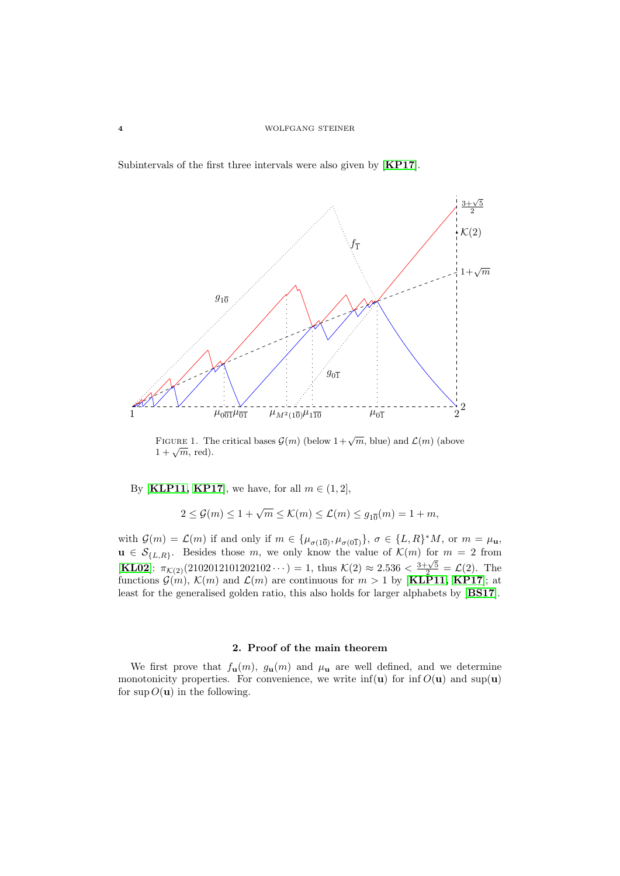Subintervals of the first three intervals were also given by [[KP17](#page-12-4)].



<span id="page-3-0"></span>FIGURE 1. The critical bases  $\mathcal{G}(m)$  (below  $1+\sqrt{m}$ , blue) and  $\mathcal{L}(m)$  (above  $1 + \sqrt{m}$ , red).

By [[KLP11,](#page-12-2) [KP17](#page-12-4)], we have, for all  $m \in (1, 2]$ ,

$$
2 \le \mathcal{G}(m) \le 1 + \sqrt{m} \le \mathcal{K}(m) \le \mathcal{L}(m) \le g_{10}(m) = 1 + m,
$$

with  $\mathcal{G}(m) = \mathcal{L}(m)$  if and only if  $m \in {\mu_{\sigma(1\overline{0})}, \mu_{\sigma(0\overline{1})}}$ ,  $\sigma \in {\Lbrack}L, R^*M$ , or  $m = \mu_{\mathbf{u}},$  $u \in \mathcal{S}_{\{L,R\}}$ . Besides those m, we only know the value of  $\mathcal{K}(m)$  for  $m = 2$  from [[KL02](#page-12-6)]:  $\pi_{\mathcal{K}(2)}(2102012101202102 \cdots) = 1$ , thus  $\mathcal{K}(2) \approx 2.536 < \frac{3+\sqrt{5}}{2} = \mathcal{L}(2)$ . The functions  $\mathcal{G}(m)$ ,  $\mathcal{K}(m)$  and  $\mathcal{L}(m)$  are continuous for  $m > 1$  by [[KLP11,](#page-12-2) [KP17](#page-12-4)]; at least for the generalised golden ratio, this also holds for larger alphabets by [[BS17](#page-11-4)].

# 2. Proof of the main theorem

We first prove that  $f_{\mathbf{u}}(m)$ ,  $g_{\mathbf{u}}(m)$  and  $\mu_{\mathbf{u}}$  are well defined, and we determine monotonicity properties. For convenience, we write  $\inf(u)$  for  $\inf O(u)$  and  $\sup(u)$ for  $\sup O(\mathbf{u})$  in the following.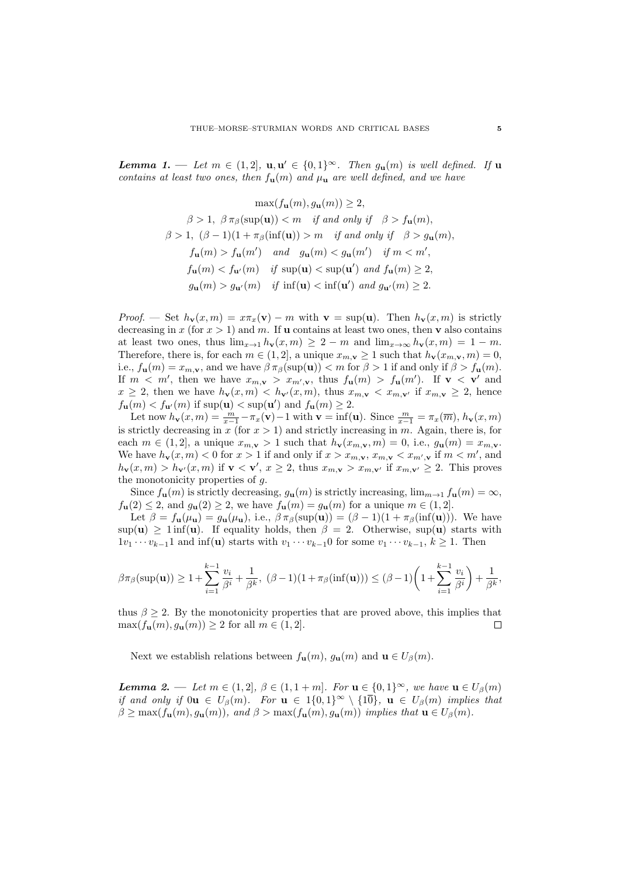<span id="page-4-0"></span>**Lemma 1.** — Let  $m \in (1, 2]$ ,  $\mathbf{u}, \mathbf{u}' \in \{0, 1\}^{\infty}$ . Then  $g_{\mathbf{u}}(m)$  is well defined. If  $\mathbf{u}$ contains at least two ones, then  $f_{\mathbf{u}}(m)$  and  $\mu_{\mathbf{u}}$  are well defined, and we have

$$
\max(f_{\mathbf{u}}(m), g_{\mathbf{u}}(m)) \ge 2,
$$
  
\n
$$
\beta > 1, \ \beta \pi_{\beta}(\sup(\mathbf{u})) < m \quad \text{if and only if} \quad \beta > f_{\mathbf{u}}(m),
$$
  
\n
$$
\beta > 1, \ (\beta - 1)(1 + \pi_{\beta}(\inf(\mathbf{u})) > m \quad \text{if and only if} \quad \beta > g_{\mathbf{u}}(m),
$$
  
\n
$$
f_{\mathbf{u}}(m) > f_{\mathbf{u}}(m') \quad \text{and} \quad g_{\mathbf{u}}(m) < g_{\mathbf{u}}(m') \quad \text{if } m < m',
$$
  
\n
$$
f_{\mathbf{u}}(m) < f_{\mathbf{u}'}(m) \quad \text{if } \sup(\mathbf{u}) < \sup(\mathbf{u}') \text{ and } f_{\mathbf{u}}(m) \ge 2,
$$
  
\n
$$
g_{\mathbf{u}}(m) > g_{\mathbf{u}'}(m) \quad \text{if } \inf(\mathbf{u}) < \inf(\mathbf{u}') \text{ and } g_{\mathbf{u}'}(m) \ge 2.
$$

Proof. — Set  $h_{\mathbf{v}}(x,m) = x\pi_x(\mathbf{v}) - m$  with  $\mathbf{v} = \sup(\mathbf{u})$ . Then  $h_{\mathbf{v}}(x,m)$  is strictly decreasing in x (for  $x > 1$ ) and m. If **u** contains at least two ones, then **v** also contains at least two ones, thus  $\lim_{x\to 1} h_{\mathbf{v}}(x,m) \geq 2 - m$  and  $\lim_{x\to\infty} h_{\mathbf{v}}(x,m) = 1 - m$ . Therefore, there is, for each  $m \in (1, 2]$ , a unique  $x_{m, \mathbf{v}} \ge 1$  such that  $h_{\mathbf{v}}(x_{m, \mathbf{v}}, m) = 0$ , i.e.,  $f_{\mathbf{u}}(m) = x_{m,\mathbf{v}}$ , and we have  $\beta \pi_{\beta}(\sup(\mathbf{u})) < m$  for  $\beta > 1$  if and only if  $\beta > f_{\mathbf{u}}(m)$ . If  $m < m'$ , then we have  $x_{m,\mathbf{v}} > x_{m',\mathbf{v}}$ , thus  $f_{\mathbf{u}}(m) > f_{\mathbf{u}}(m')$ . If  $\mathbf{v} < \mathbf{v}'$  and  $x \geq 2$ , then we have  $h_{\mathbf{v}}(x,m) < h_{\mathbf{v}'}(x,m)$ , thus  $x_{m,\mathbf{v}} < x_{m,\mathbf{v}'}$  if  $x_{m,\mathbf{v}} \geq 2$ , hence  $f_{\mathbf{u}}(m) < f_{\mathbf{u}'}(m)$  if  $\sup(\mathbf{u}) < \sup(\mathbf{u}')$  and  $f_{\mathbf{u}}(m) \geq 2$ .

Let now  $h_{\mathbf{v}}(x,m) = \frac{m}{x-1} - \pi_x(\mathbf{v}) - 1$  with  $\mathbf{v} = \inf(\mathbf{u})$ . Since  $\frac{m}{x-1} = \pi_x(\overline{m})$ ,  $h_{\mathbf{v}}(x,m)$ is strictly decreasing in x (for  $x > 1$ ) and strictly increasing in m. Again, there is, for each  $m \in (1,2]$ , a unique  $x_{m,\mathbf{v}} > 1$  such that  $h_{\mathbf{v}}(x_{m,\mathbf{v}}, m) = 0$ , i.e.,  $g_{\mathbf{u}}(m) = x_{m,\mathbf{v}}$ . We have  $h_{\mathbf{v}}(x,m) < 0$  for  $x > 1$  if and only if  $x > x_{m,\mathbf{v}}, x_{m,\mathbf{v}} < x_{m',\mathbf{v}}$  if  $m < m'$ , and  $h_{\mathbf{v}}(x,m) > h_{\mathbf{v}'}(x,m)$  if  $\mathbf{v} < \mathbf{v}'$ ,  $x \geq 2$ , thus  $x_{m,\mathbf{v}} > x_{m,\mathbf{v}'}$  if  $x_{m,\mathbf{v}'} \geq 2$ . This proves the monotonicity properties of g.

Since  $f_{\mathbf{u}}(m)$  is strictly decreasing,  $g_{\mathbf{u}}(m)$  is strictly increasing,  $\lim_{m\to 1} f_{\mathbf{u}}(m) = \infty$ ,  $f_{\mathbf{u}}(2) \leq 2$ , and  $g_{\mathbf{u}}(2) \geq 2$ , we have  $f_{\mathbf{u}}(m) = g_{\mathbf{u}}(m)$  for a unique  $m \in (1, 2]$ .

Let  $\beta = f_{\mathbf{u}}(\mu_{\mathbf{u}}) = g_{\mathbf{u}}(\mu_{\mathbf{u}})$ , i.e.,  $\beta \pi_{\beta}(\sup(\mathbf{u})) = (\beta - 1)(1 + \pi_{\beta}(\inf(\mathbf{u})))$ . We have  $\sup(u) > 1$  inf(u). If equality holds, then  $\beta = 2$ . Otherwise,  $\sup(u)$  starts with  $1v_1 \cdots v_{k-1}1$  and inf(**u**) starts with  $v_1 \cdots v_{k-1}0$  for some  $v_1 \cdots v_{k-1}$ ,  $k \ge 1$ . Then

$$
\beta \pi_{\beta}(\sup(\mathbf{u})) \geq 1 + \sum_{i=1}^{k-1} \frac{v_i}{\beta^i} + \frac{1}{\beta^k}, \ (\beta - 1)(1 + \pi_{\beta}(\inf(\mathbf{u}))) \leq (\beta - 1)\left(1 + \sum_{i=1}^{k-1} \frac{v_i}{\beta^i}\right) + \frac{1}{\beta^k},
$$

thus  $\beta > 2$ . By the monotonicity properties that are proved above, this implies that  $\max(f_{\bf u}(m), g_{\bf u}(m)) \ge 2$  for all  $m \in (1, 2]$ .  $\Box$ 

Next we establish relations between  $f_{\mathbf{u}}(m)$ ,  $g_{\mathbf{u}}(m)$  and  $\mathbf{u} \in U_{\beta}(m)$ .

<span id="page-4-1"></span>**Lemma 2.** — Let  $m \in (1, 2], \beta \in (1, 1 + m]$ . For  $\mathbf{u} \in \{0, 1\}^{\infty}$ , we have  $\mathbf{u} \in U_{\beta}(m)$ if and only if  $0\mathbf{u} \in U_\beta(m)$ . For  $\mathbf{u} \in 1\{0,1\}^\infty \setminus \{1\overline{0}\}$ ,  $\mathbf{u} \in U_\beta(m)$  implies that  $\beta \geq \max(f_{\mathbf{u}}(m), g_{\mathbf{u}}(m))$ , and  $\beta > \max(f_{\mathbf{u}}(m), g_{\mathbf{u}}(m))$  implies that  $\mathbf{u} \in U_{\beta}(m)$ .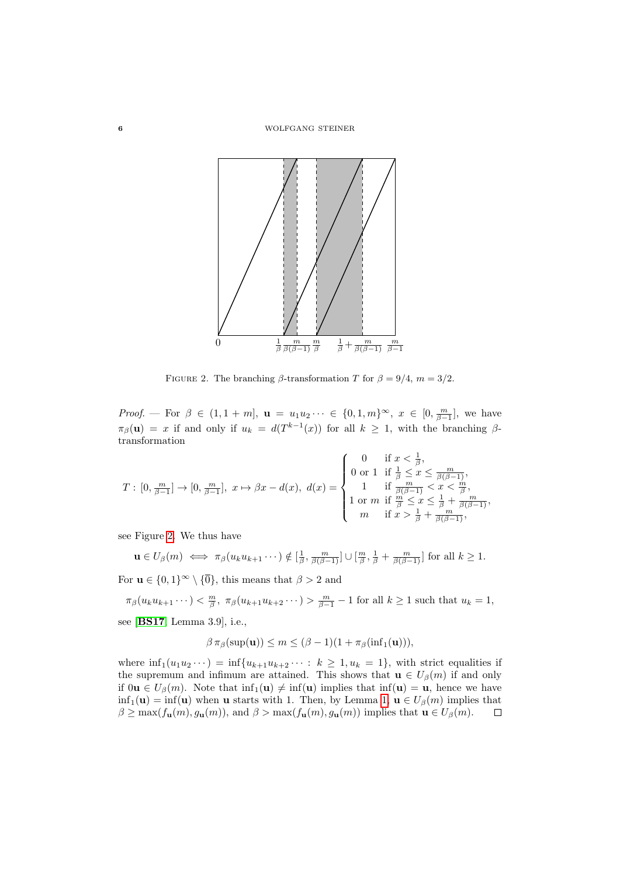

FIGURE 2. The branching  $\beta$ -transformation T for  $\beta = 9/4$ ,  $m = 3/2$ .

*Proof.* — For  $\beta \in (1, 1 + m], \mathbf{u} = u_1 u_2 \cdots \in \{0, 1, m\}^{\infty}, x \in [0, \frac{m}{\beta-1}],$  we have  $\pi_{\beta}(\mathbf{u}) = x$  if and only if  $u_k = d(T^{k-1}(x))$  for all  $k \geq 1$ , with the branching  $\beta$ transformation

$$
T: [0, \frac{m}{\beta-1}] \to [0, \frac{m}{\beta-1}], x \mapsto \beta x - d(x), d(x) = \begin{cases} 0 & \text{if } x < \frac{1}{\beta}, \\ 0 \text{ or } 1 & \text{if } \frac{1}{\beta} \leq x \leq \frac{m}{\beta(\beta-1)}, \\ 1 & \text{if } \frac{m}{\beta(\beta-1)} < x < \frac{m}{\beta}, \\ 1 \text{ or } m & \text{if } \frac{m}{\beta} \leq x \leq \frac{1}{\beta} + \frac{m}{\beta(\beta-1)}, \\ m & \text{if } x > \frac{1}{\beta} + \frac{m}{\beta(\beta-1)}, \end{cases}
$$

see Figure [2.](#page-4-1) We thus have

$$
\mathbf{u} \in U_{\beta}(m) \iff \pi_{\beta}(u_{k}u_{k+1}\cdots) \notin [\frac{1}{\beta}, \frac{m}{\beta(\beta-1)}] \cup [\frac{m}{\beta}, \frac{1}{\beta} + \frac{m}{\beta(\beta-1)}] \text{ for all } k \geq 1.
$$

For  $\mathbf{u} \in \{0,1\}^{\infty} \setminus \{\overline{0}\}\)$ , this means that  $\beta > 2$  and

 $\pi_{\beta}(u_k u_{k+1} \cdots) < \frac{m}{\beta}, \ \pi_{\beta}(u_{k+1} u_{k+2} \cdots) > \frac{m}{\beta-1} - 1$  for all  $k \ge 1$  such that  $u_k = 1$ ,

see [[BS17](#page-11-4), Lemma 3.9], i.e.,

$$
\beta \pi_{\beta}(\sup(\mathbf{u})) \le m \le (\beta - 1)(1 + \pi_{\beta}(\inf_1(\mathbf{u}))),
$$

where  $\inf_1(u_1u_2\cdots) = \inf\{u_{k+1}u_{k+2}\cdots : k \geq 1, u_k = 1\}$ , with strict equalities if the supremum and infimum are attained. This shows that  $\mathbf{u} \in U_{\beta}(m)$  if and only if  $0\mathbf{u} \in U_\beta(m)$ . Note that  $\inf_1(\mathbf{u}) \neq \inf(\mathbf{u})$  implies that  $\inf(\mathbf{u}) = \mathbf{u}$ , hence we have  $\inf_1(\mathbf{u}) = \inf(\mathbf{u})$  when **u** starts with 1. Then, by Lemma [1,](#page-4-0)  $\mathbf{u} \in U_\beta(m)$  implies that  $\beta \ge \max(f_{\mathbf{u}}(m), g_{\mathbf{u}}(m))$ , and  $\beta > \max(f_{\mathbf{u}}(m), g_{\mathbf{u}}(m))$  implies that  $\mathbf{u} \in U_{\beta}(m)$ .  $\Box$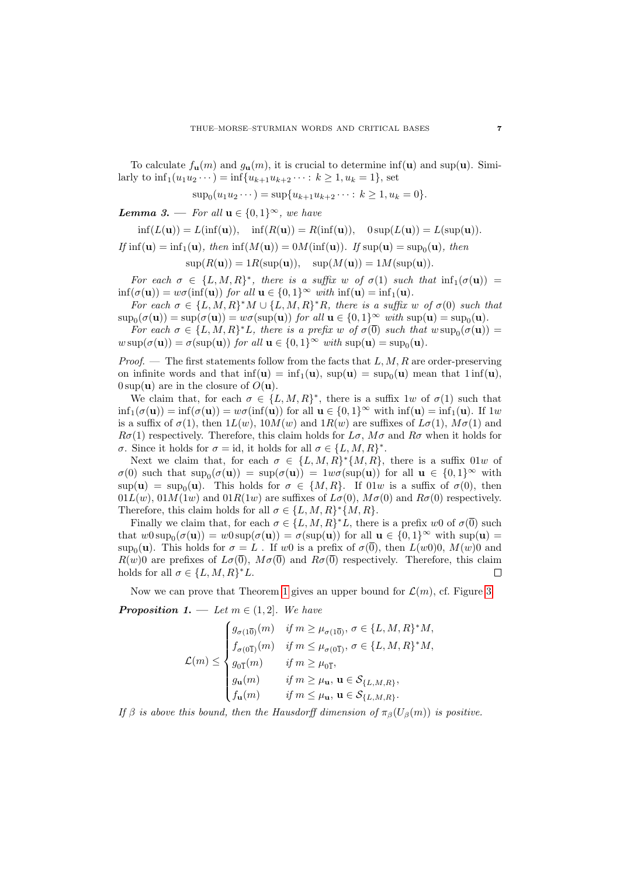To calculate  $f_{\mathbf{u}}(m)$  and  $g_{\mathbf{u}}(m)$ , it is crucial to determine inf(**u**) and sup(**u**). Similarly to  $\inf_1(u_1u_2\cdots) = \inf\{u_{k+1}u_{k+2}\cdots : k \geq 1, u_k = 1\}$ , set

$$
\sup\nolimits_0(u_1u_2\cdots) = \sup\{u_{k+1}u_{k+2}\cdots : k \ge 1, u_k = 0\}.
$$

<span id="page-6-0"></span>**Lemma 3.** — For all  $\mathbf{u} \in \{0,1\}^{\infty}$ , we have

$$
\inf(L(\mathbf{u})) = L(\inf(\mathbf{u})), \quad \inf(R(\mathbf{u})) = R(\inf(\mathbf{u})), \quad 0 \sup(L(\mathbf{u})) = L(\sup(\mathbf{u})).
$$

If  $\inf(\mathbf{u}) = \inf_1(\mathbf{u}), \text{ then } \inf(M(\mathbf{u})) = 0$  $M(\inf(\mathbf{u})).$  If  $\sup(\mathbf{u}) = \sup_0(\mathbf{u}), \text{ then}$ 

$$
\sup(R(\mathbf{u})) = 1R(\sup(\mathbf{u})), \quad \sup(M(\mathbf{u})) = 1M(\sup(\mathbf{u})).
$$

For each  $\sigma \in \{L, M, R\}^*$ , there is a suffix w of  $\sigma(1)$  such that  $\inf_1(\sigma(\mathbf{u})) =$  $\inf(\sigma(\mathbf{u})) = w\sigma(\inf(\mathbf{u}))$  for all  $\mathbf{u} \in \{0,1\}^{\infty}$  with  $\inf(\mathbf{u}) = \inf_1(\mathbf{u}).$ 

For each  $\sigma \in \{L, M, R\}^* M \cup \{L, M, R\}^* R$ , there is a suffix w of  $\sigma(0)$  such that  $\sup_0(\sigma(\mathbf{u})) = \sup(\sigma(\mathbf{u})) = w\sigma(\sup(\mathbf{u}))$  for all  $\mathbf{u} \in \{0,1\}^\infty$  with  $\sup(\mathbf{u}) = \sup_0(\mathbf{u})$ .

For each  $\sigma \in \{L, M, R\}^*$ , there is a prefix w of  $\sigma(\overline{0})$  such that  $w \sup_0(\sigma(\mathbf{u})) =$  $w \sup(\sigma(\mathbf{u})) = \sigma(\sup(\mathbf{u}))$  for all  $\mathbf{u} \in \{0,1\}^{\infty}$  with  $\sup(\mathbf{u}) = \sup_0(\mathbf{u})$ .

*Proof.* — The first statements follow from the facts that  $L, M, R$  are order-preserving on infinite words and that  $\inf(\mathbf{u}) = \inf_1(\mathbf{u}), \sup(\mathbf{u}) = \sup_0(\mathbf{u})$  mean that  $1 \inf(\mathbf{u}),$  $0 \sup(\mathbf{u})$  are in the closure of  $O(\mathbf{u})$ .

We claim that, for each  $\sigma \in \{L, M, R\}^*$ , there is a suffix 1w of  $\sigma(1)$  such that  $\inf_1(\sigma(\mathbf{u})) = \inf(\sigma(\mathbf{u})) = w\sigma(\inf(\mathbf{u}))$  for all  $\mathbf{u} \in \{0,1\}^\infty$  with  $\inf(\mathbf{u}) = \inf_1(\mathbf{u})$ . If  $1w$ is a suffix of  $\sigma(1)$ , then  $1L(w)$ ,  $10M(w)$  and  $1R(w)$  are suffixes of  $L\sigma(1)$ ,  $M\sigma(1)$  and  $R\sigma(1)$  respectively. Therefore, this claim holds for  $L\sigma$ ,  $M\sigma$  and  $R\sigma$  when it holds for σ. Since it holds for  $\sigma = id$ , it holds for all  $\sigma \in \{L, M, R\}^*$ .

Next we claim that, for each  $\sigma \in \{L, M, R\}^*\{M, R\}$ , there is a suffix 01w of  $\sigma(0)$  such that  $\sup_0(\sigma(\mathbf{u})) = \sup(\sigma(\mathbf{u})) = 1w\sigma(\sup(\mathbf{u}))$  for all  $\mathbf{u} \in \{0,1\}^\infty$  with  $\sup(\mathbf{u}) = \sup_0(\mathbf{u})$ . This holds for  $\sigma \in \{M, R\}$ . If  $01w$  is a suffix of  $\sigma(0)$ , then  $01L(w)$ ,  $01M(1w)$  and  $01R(1w)$  are suffixes of  $L\sigma(0)$ ,  $M\sigma(0)$  and  $R\sigma(0)$  respectively. Therefore, this claim holds for all  $\sigma \in \{L, M, R\}^*\{M, R\}.$ 

Finally we claim that, for each  $\sigma \in \{L, M, R\}^*L$ , there is a prefix w0 of  $\sigma(\overline{0})$  such that  $w0 \sup_0(\sigma(\mathbf{u})) = w0 \sup(\sigma(\mathbf{u})) = \sigma(\sup(\mathbf{u}))$  for all  $\mathbf{u} \in \{0,1\}^\infty$  with  $\sup(\mathbf{u}) =$ sup<sub>0</sub>(**u**). This holds for  $\sigma = L$ . If w0 is a prefix of  $\sigma(\overline{0})$ , then  $L(w0)0$ ,  $M(w)0$  and  $R(w)$  are prefixes of  $L\sigma(\overline{0})$ ,  $M\sigma(\overline{0})$  and  $R\sigma(\overline{0})$  respectively. Therefore, this claim holds for all  $\sigma \in \{L, M, R\}^*L$ .  $\Box$ 

<span id="page-6-1"></span>Now we can prove that Theorem [1](#page-2-0) gives an upper bound for  $\mathcal{L}(m)$ , cf. Figure [3.](#page-7-0) **Proposition 1.** — Let  $m \in (1, 2]$ . We have

$$
\mathcal{L}(m) \leq \begin{cases} g_{\sigma(1\overline{0})}(m) & \text{if } m \geq \mu_{\sigma(1\overline{0})}, \sigma \in \{L, M, R\}^* M, \\ f_{\sigma(0\overline{1})}(m) & \text{if } m \leq \mu_{\sigma(0\overline{1})}, \sigma \in \{L, M, R\}^* M, \\ g_{0\overline{1}}(m) & \text{if } m \geq \mu_{0\overline{1}}, \\ g_{\mathbf{u}}(m) & \text{if } m \geq \mu_{\mathbf{u}}, \mathbf{u} \in \mathcal{S}_{\{L, M, R\}}, \\ f_{\mathbf{u}}(m) & \text{if } m \leq \mu_{\mathbf{u}}, \mathbf{u} \in \mathcal{S}_{\{L, M, R\}}.\end{cases}
$$

If  $\beta$  is above this bound, then the Hausdorff dimension of  $\pi_{\beta}(U_{\beta}(m))$  is positive.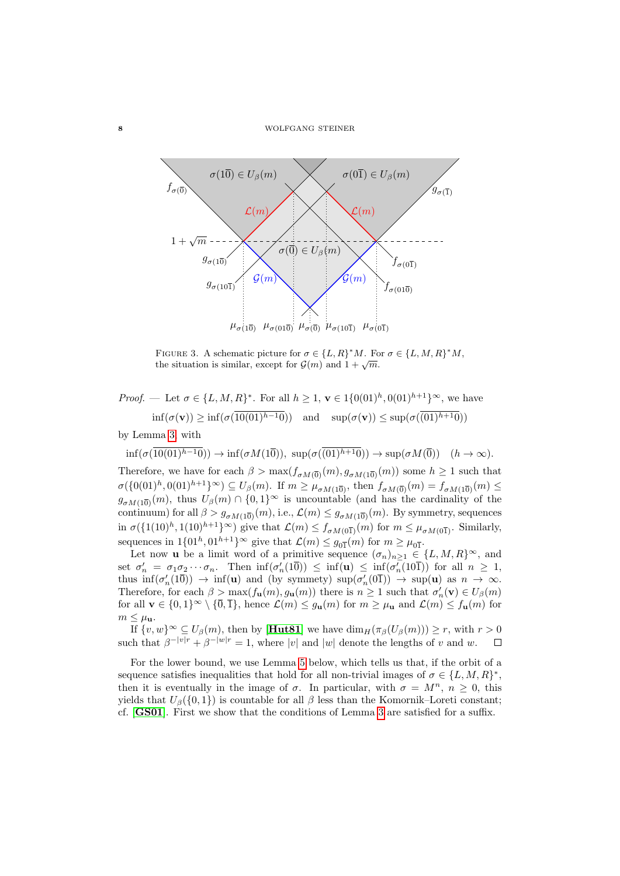

<span id="page-7-0"></span>FIGURE 3. A schematic picture for  $\sigma \in \{L, R\}^* M$ . For  $\sigma \in \{L, M, R\}^* M$ , THEORE 5. A schematic picture for  $\mathcal{G}(m)$  and  $1 + \sqrt{m}$ .

*Proof.* — Let  $\sigma \in \{L, M, R\}^*$ . For all  $h \geq 1$ ,  $\mathbf{v} \in 1\{0(01)^h, 0(01)^{h+1}\}^{\infty}$ , we have  $\inf(\sigma(\mathbf{v})) > \inf(\sigma(\overline{10(01)^{h-1}0}))$  and  $\sup(\sigma(\mathbf{v})) < \sup(\sigma(\overline{01)^{h+1}0})$ by Lemma [3,](#page-6-0) with

 $\inf(\sigma(\overline{10(01)^{h-1}0})) \to \inf(\sigma M(\overline{10})), \sup(\sigma(\overline{(01)^{h+1}0})) \to \sup(\sigma M(\overline{0})) \quad (h \to \infty).$ Therefore, we have for each  $\beta > \max(f_{\sigma M(\overline{0})}(m), g_{\sigma M(\overline{10})}(m))$  some  $h \ge 1$  such that  $\sigma({0(01)^h, 0(01)^{h+1}})^{\infty}$   $\subseteq U_{\beta}(m)$ . If  $m \geq \mu_{\sigma M(10)}$ , then  $f_{\sigma M(0)}(m) = f_{\sigma M(10)}(m)$  $g_{\sigma M(10)}(m)$ , thus  $U_{\beta}(m) \cap \{0,1\}^{\infty}$  is uncountable (and has the cardinality of the continuum) for all  $\beta > g_{\sigma M(10)}(m)$ , i.e.,  $\mathcal{L}(m) \leq g_{\sigma M(10)}(m)$ . By symmetry, sequences in  $\sigma({1(10)^h, 1(10)^{h+1}})^\infty$  give that  $\mathcal{L}(m) \le f_{\sigma M(0\overline{1})}(m)$  for  $m \le \mu_{\sigma M(0\overline{1})}$ . Similarly, sequences in  $1\{01^h, 01^{h+1}\}^{\infty}$  give that  $\mathcal{L}(m) \leq g_{0\overline{1}}(m)$  for  $m \geq \mu_{0\overline{1}}$ .

Let now **u** be a limit word of a primitive sequence  $(\sigma_n)_{n\geq 1} \in \{L, M, R\}^{\infty}$ , and set  $\sigma'_n = \sigma_1 \sigma_2 \cdots \sigma_n$ . Then  $\inf(\sigma'_n(1\overline{0})) \leq \inf(\mathbf{u}) \leq \inf(\sigma'_n(10\overline{1}))$  for all  $n \geq 1$ , thus  $\inf(\sigma'_n(1\overline{0})) \to \inf(\mathbf{u})$  and (by symmety)  $\sup(\sigma'_n(0\overline{1})) \to \sup(\mathbf{u})$  as  $n \to \infty$ . Therefore, for each  $\beta > \max(f_{\mathbf{u}}(m), g_{\mathbf{u}}(m))$  there is  $n \geq 1$  such that  $\sigma'_n(\mathbf{v}) \in U_\beta(m)$ for all  $\mathbf{v} \in \{0,1\}^{\infty} \setminus \{\overline{0},\overline{1}\}\)$ , hence  $\mathcal{L}(m) \leq g_{\mathbf{u}}(m)$  for  $m \geq \mu_{\mathbf{u}}$  and  $\mathcal{L}(m) \leq f_{\mathbf{u}}(m)$  for  $m \leq \mu_{\mathbf{u}}$ .

If  $\{v, w\}^{\infty} \subseteq U_{\beta}(m)$ , then by [**[Hut81](#page-12-7)**] we have  $\dim_H(\pi_{\beta}(U_{\beta}(m))) \geq r$ , with  $r > 0$ such that  $\beta^{-|v|r} + \beta^{-|w|r} = 1$ , where |v| and |w| denote the lengths of v and w.  $\Box$ 

For the lower bound, we use Lemma [5](#page-8-0) below, which tells us that, if the orbit of a sequence satisfies inequalities that hold for all non-trivial images of  $\sigma \in \{L, M, R\}^*$ , then it is eventually in the image of  $\sigma$ . In particular, with  $\sigma = M^n$ ,  $n \geq 0$ , this yields that  $U_\beta({0, 1})$  is countable for all  $\beta$  less than the Komornik–Loreti constant; cf. [[GS01](#page-11-1)]. First we show that the conditions of Lemma [3](#page-6-0) are satisfied for a suffix.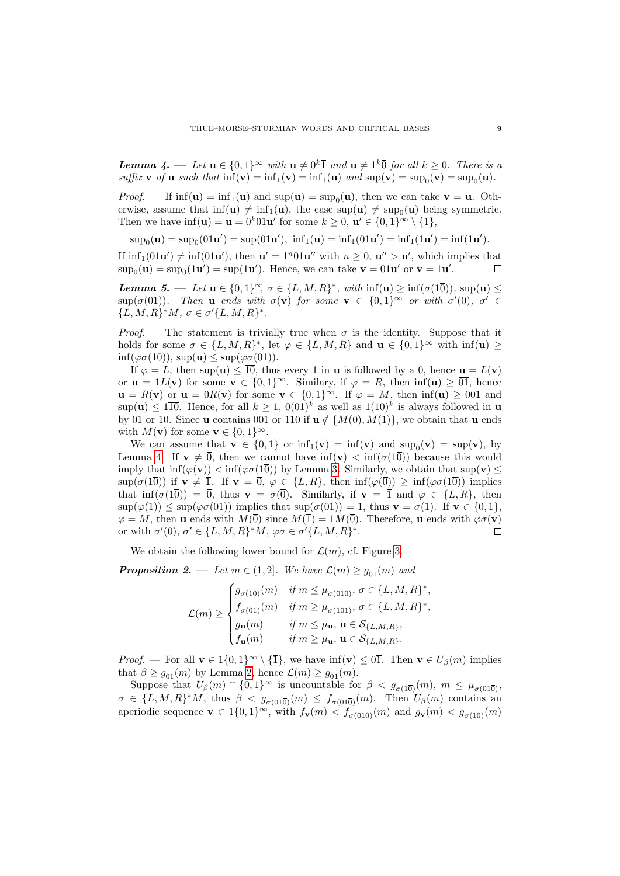<span id="page-8-1"></span>**Lemma** 4. — Let  $u \in \{0,1\}^{\infty}$  with  $u \neq 0^k\overline{1}$  and  $u \neq 1^k\overline{0}$  for all  $k \geq 0$ . There is a suffix **v** of **u** such that  $\inf(\mathbf{v}) = \inf_1(\mathbf{v}) = \inf_1(\mathbf{u})$  and  $\sup(\mathbf{v}) = \sup_0(\mathbf{v}) = \sup_0(\mathbf{u})$ .

*Proof.* – If  $\inf(\mathbf{u}) = \inf_1(\mathbf{u})$  and  $\sup(\mathbf{u}) = \sup_0(\mathbf{u})$ , then we can take  $\mathbf{v} = \mathbf{u}$ . Otherwise, assume that  $\inf(u) \neq \inf_1(u)$ , the case  $\sup(u) \neq \sup_0(u)$  being symmetric. Then we have  $\inf(\mathbf{u}) = \mathbf{u} = 0^k 01\mathbf{u}'$  for some  $k \geq 0$ ,  $\mathbf{u}' \in \{0,1\}^\infty \setminus \{\overline{1}\},$ 

 $\sup_0(\mathbf{u}) = \sup_0(01\mathbf{u}') = \sup(01\mathbf{u}'), \text{ inf}_1(\mathbf{u}) = \inf_1(01\mathbf{u}') = \inf_1(1\mathbf{u}') = \inf(1\mathbf{u}').$ 

If  $\inf_1(01u') \neq \inf(01u')$ , then  $u' = 1^n01u''$  with  $n \geq 0$ ,  $u'' > u'$ , which implies that  $\sup_0(\mathbf{u}) = \sup_0(1\mathbf{u}') = \sup(1\mathbf{u}')$ . Hence, we can take  $\mathbf{v} = 01\mathbf{u}'$  or  $\mathbf{v} = 1\mathbf{u}'$ .  $\Box$ 

<span id="page-8-0"></span>**Lemma 5.** — Let  $\mathbf{u} \in \{0,1\}^{\infty}$ ,  $\sigma \in \{L, M, R\}^*$ , with  $\inf(\mathbf{u}) \geq \inf(\sigma(1\overline{0}))$ ,  $\sup(\mathbf{u}) \leq$  $\sup(\sigma(0\overline{1}))$ . Then **u** ends with  $\sigma(\mathbf{v})$  for some  $\mathbf{v} \in \{0,1\}^{\infty}$  or with  $\sigma'(\overline{0})$ ,  $\sigma' \in$  ${L, M, R}^* M, \sigma \in \sigma' {L, M, R}^*.$ 

*Proof.* — The statement is trivially true when  $\sigma$  is the identity. Suppose that it holds for some  $\sigma \in \{L, M, R\}^*$ , let  $\varphi \in \{L, M, R\}$  and  $\mathbf{u} \in \{0, 1\}^{\infty}$  with  $\inf(\mathbf{u}) \geq$  $\inf(\varphi\sigma(1\overline{0}))$ ,  $\sup(\mathbf{u}) \leq \sup(\varphi\sigma(0\overline{1}))$ .

If  $\varphi = L$ , then sup(**u**)  $\leq \overline{10}$ , thus every 1 in **u** is followed by a 0, hence **u** =  $L(\mathbf{v})$ or  $\mathbf{u} = 1L(\mathbf{v})$  for some  $\mathbf{v} \in \{0, 1\}^{\infty}$ . Similary, if  $\varphi = R$ , then  $\inf(\mathbf{u}) \geq 0$ . hence  $u = R(v)$  or  $u = 0R(v)$  for some  $v \in \{0,1\}^{\infty}$ . If  $\varphi = M$ , then  $\inf(u) > 0\overline{01}$  and  $\sup(u) \leq 110$ . Hence, for all  $k \geq 1$ ,  $0(01)^k$  as well as  $1(10)^k$  is always followed in u by 01 or 10. Since **u** contains 001 or 110 if  $\mathbf{u} \notin \{M(\overline{0}), M(\overline{1})\}$ , we obtain that **u** ends with  $M(\mathbf{v})$  for some  $\mathbf{v} \in \{0,1\}^{\infty}$ .

We can assume that  $\mathbf{v} \in \{0, 1\}$  or  $\inf_1(\mathbf{v}) = \inf(\mathbf{v})$  and  $\sup_0(\mathbf{v}) = \sup(\mathbf{v})$ , by Lemma [4.](#page-8-1) If  $\mathbf{v} \neq \overline{0}$ , then we cannot have  $\inf(\mathbf{v}) < \inf(\sigma(1\overline{0}))$  because this would imply that  $\inf(\varphi(\mathbf{v})) < \inf(\varphi(\sigma(\overline{10}))$  by Lemma [3.](#page-6-0) Similarly, we obtain that  $\sup(\mathbf{v}) \leq$  $\sup(\sigma(1\overline{0}))$  if  $\mathbf{v} \neq \overline{1}$ . If  $\mathbf{v} = \overline{0}$ ,  $\varphi \in \{L, R\}$ , then  $\inf(\varphi(\overline{0})) \geq \inf(\varphi(\sigma(1\overline{0}))$  implies that  $\inf(\sigma(1\overline{0})) = \overline{0}$ , thus  $\mathbf{v} = \sigma(\overline{0})$ . Similarly, if  $\mathbf{v} = \overline{1}$  and  $\varphi \in \{L, R\}$ , then  $\sup(\varphi(\overline{1})) \leq \sup(\varphi\sigma(0\overline{1}))$  implies that  $\sup(\sigma(0\overline{1})) = \overline{1}$ , thus  $\mathbf{v} = \sigma(\overline{1})$ . If  $\mathbf{v} \in \{\overline{0},\overline{1}\},$  $\varphi = M$ , then **u** ends with  $M(\overline{0})$  since  $M(\overline{1}) = 1 M(\overline{0})$ . Therefore, **u** ends with  $\varphi \sigma(\mathbf{v})$ or with  $\sigma'(\overline{0}), \sigma' \in \{L, M, R\}^*M, \varphi \sigma \in \sigma' \{L, M, R\}^*.$  $\Box$ 

We obtain the following lower bound for  $\mathcal{L}(m)$ , cf. Figure [3.](#page-7-0)

<span id="page-8-2"></span>**Proposition 2.** — Let  $m \in (1, 2]$ . We have  $\mathcal{L}(m) \ge g_{0\overline{1}}(m)$  and

$$
\mathcal{L}(m) \geq \begin{cases} g_{\sigma(1\overline{0})}(m) & \text{if } m \leq \mu_{\sigma(01\overline{0})}, \sigma \in \{L,M,R\}^*, \\ f_{\sigma(0\overline{1})}(m) & \text{if } m \geq \mu_{\sigma(10\overline{1})}, \sigma \in \{L,M,R\}^*, \\ g_{\mathbf{u}}(m) & \text{if } m \leq \mu_{\mathbf{u}}, \mathbf{u} \in \mathcal{S}_{\{L,M,R\}}, \\ f_{\mathbf{u}}(m) & \text{if } m \geq \mu_{\mathbf{u}}, \mathbf{u} \in \mathcal{S}_{\{L,M,R\}}. \end{cases}
$$

*Proof.* — For all  $\mathbf{v} \in 1\{0,1\}^{\infty} \setminus {\{\overline{1}\}}$ , we have  $\inf(\mathbf{v}) \leq 0\overline{1}$ . Then  $\mathbf{v} \in U_{\beta}(m)$  implies that  $\beta \ge g_{0\overline{1}}(m)$  by Lemma [2,](#page-4-1) hence  $\mathcal{L}(m) \ge g_{0\overline{1}}(m)$ .

Suppose that  $U_\beta(m) \cap \{0,1\}^\infty$  is uncountable for  $\beta < g_{\sigma(10)}(m)$ ,  $m \leq \mu_{\sigma(010)}$ ,  $\sigma \in \{L, M, R\}^*M$ , thus  $\beta < g_{\sigma(010)}(m) \leq f_{\sigma(010)}(m)$ . Then  $U_{\beta}(m)$  contains an aperiodic sequence  $\mathbf{v} \in \mathbb{1}\{0,1\}^{\infty}$ , with  $f_{\mathbf{v}}(m) < f_{\sigma(010)}(m)$  and  $g_{\mathbf{v}}(m) < g_{\sigma(10)}(m)$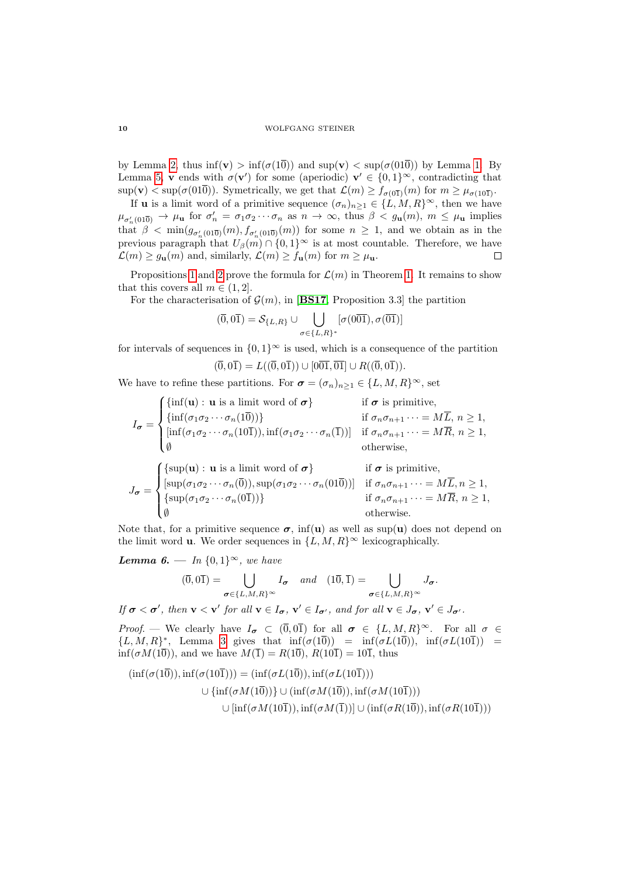#### 10 WOLFGANG STEINER

by Lemma [2,](#page-4-1) thus  $\inf(v) > \inf(\sigma(1\overline{0}))$  and  $\sup(v) < \sup(\sigma(01\overline{0}))$  by Lemma [1.](#page-4-0) By Lemma [5,](#page-8-0) v ends with  $\sigma(\mathbf{v}')$  for some (aperiodic)  $\mathbf{v}' \in \{0,1\}^{\infty}$ , contradicting that  $\sup(\mathbf{v}) < \sup(\sigma(01\overline{0}))$ . Symetrically, we get that  $\mathcal{L}(m) \ge f_{\sigma(0\overline{1})}(m)$  for  $m \ge \mu_{\sigma(10\overline{1})}$ .

If **u** is a limit word of a primitive sequence  $(\sigma_n)_{n\geq 1} \in \{L, M, R\}^{\infty}$ , then we have  $\mu_{\sigma'_n(01\overline{0})} \to \mu_{\mathbf{u}}$  for  $\sigma'_n = \sigma_1 \sigma_2 \cdots \sigma_n$  as  $n \to \infty$ , thus  $\beta < g_{\mathbf{u}}(m)$ ,  $m \leq \mu_{\mathbf{u}}$  implies that  $\beta < \min(g_{\sigma'_n(01\overline{0})}(m), f_{\sigma'_n(01\overline{0})}(m))$  for some  $n \geq 1$ , and we obtain as in the previous paragraph that  $U_\beta(m) \cap \{0,1\}^\infty$  is at most countable. Therefore, we have  $\mathcal{L}(m) \ge g_{\mathbf{u}}(m)$  and, similarly,  $\mathcal{L}(m) \ge f_{\mathbf{u}}(m)$  for  $m \ge \mu_{\mathbf{u}}$ .  $\Box$ 

Propositions [1](#page-6-1) and [2](#page-8-2) prove the formula for  $\mathcal{L}(m)$  in Theorem [1.](#page-2-0) It remains to show that this covers all  $m \in (1, 2]$ .

For the characterisation of  $\mathcal{G}(m)$ , in [[BS17](#page-11-4), Proposition 3.3] the partition

$$
(\overline{0},0\overline{1})=\mathcal{S}_{\{L,R\}}\cup\bigcup_{\sigma\in\{L,R\}^*}[\sigma(0\overline{01}),\sigma(\overline{01})]
$$

for intervals of sequences in  ${0, 1}^\infty$  is used, which is a consequence of the partition  $(\overline{0}, 0\overline{1}) = L((\overline{0}, 0\overline{1})) \cup [0\overline{01}, \overline{01}] \cup R((\overline{0}, 0\overline{1})).$ 

We have to refine these partitions. For  $\sigma = (\sigma_n)_{n>1} \in \{L, M, R\}^{\infty}$ , set

$$
I_{\sigma} = \begin{cases} {\rm{inf}}(\mathbf{u}) : \mathbf{u} \text{ is a limit word of } \sigma \\ {\rm{inf}}(\sigma_1 \sigma_2 \cdots \sigma_n(1\overline{0})) & \text{if } \sigma_n \sigma_{n+1} \cdots = M\overline{L}, n \ge 1, \\ {\rm{inf}}(\sigma_1 \sigma_2 \cdots \sigma_n(10\overline{1})), \text{inf}(\sigma_1 \sigma_2 \cdots \sigma_n(\overline{1}))] & \text{if } \sigma_n \sigma_{n+1} \cdots = M\overline{R}, n \ge 1, \\ \emptyset & \text{otherwise,} \end{cases}
$$
  

$$
J_{\sigma} = \begin{cases} {\rm{sup}}(\mathbf{u}) : \mathbf{u} \text{ is a limit word of } \sigma \\ {\rm{sup}}(\sigma_1 \sigma_2 \cdots \sigma_n(\overline{0})), \text{sup}(\sigma_1 \sigma_2 \cdots \sigma_n(01\overline{0}))] & \text{if } \sigma_n \sigma_{n+1} \cdots = M\overline{L}, n \ge 1, \\ {\rm{sup}}(\sigma_1 \sigma_2 \cdots \sigma_n(\overline{0\overline{1}})) \} & \text{if } \sigma_n \sigma_{n+1} \cdots = M\overline{R}, n \ge 1, \\ \emptyset & \text{otherwise.} \end{cases}
$$

Note that, for a primitive sequence  $\sigma$ , inf(u) as well as sup(u) does not depend on the limit word **u**. We order sequences in  $\{L, M, R\}^{\infty}$  lexicographically.

<span id="page-9-0"></span>Lemma 6. — In  $\{0,1\}^{\infty}$ , we have

$$
(\overline{0},0\overline{1})=\bigcup_{\sigma\in\{L,M,R\}^{\infty}}I_{\sigma} \quad and \quad (1\overline{0},\overline{1})=\bigcup_{\sigma\in\{L,M,R\}^{\infty}}J_{\sigma}.
$$

If  $\sigma < \sigma'$ , then  $v < v'$  for all  $v \in I_{\sigma}$ ,  $v' \in I_{\sigma'}$ , and for all  $v \in J_{\sigma}$ ,  $v' \in J_{\sigma'}$ .

Proof. — We clearly have  $I_{\sigma} \subset (\overline{0}, 0\overline{1})$  for all  $\sigma \in \{L, M, R\}^{\infty}$ . For all  $\sigma \in$  ${L, M, R}^*$ , Lemma [3](#page-6-0) gives that  $\inf(\sigma(1\overline{0})) = \inf(\sigma L(1\overline{0})), \inf(\sigma L(10\overline{1})) =$  $\inf(\sigma M(1\overline{0}))$ , and we have  $M(\overline{1}) = R(1\overline{0})$ ,  $R(10\overline{1}) = 10\overline{1}$ , thus

$$
(\inf(\sigma(1\overline{0})), \inf(\sigma(10\overline{1}))) = (\inf(\sigma L(1\overline{0})), \inf(\sigma L(10\overline{1})))
$$
  

$$
\cup \{\inf(\sigma M(1\overline{0}))\} \cup (\inf(\sigma M(1\overline{0})), \inf(\sigma M(10\overline{1})))
$$
  

$$
\cup [\inf(\sigma M(10\overline{1})), \inf(\sigma M(\overline{1}))] \cup (\inf(\sigma R(1\overline{0})), \inf(\sigma R(10\overline{1})))
$$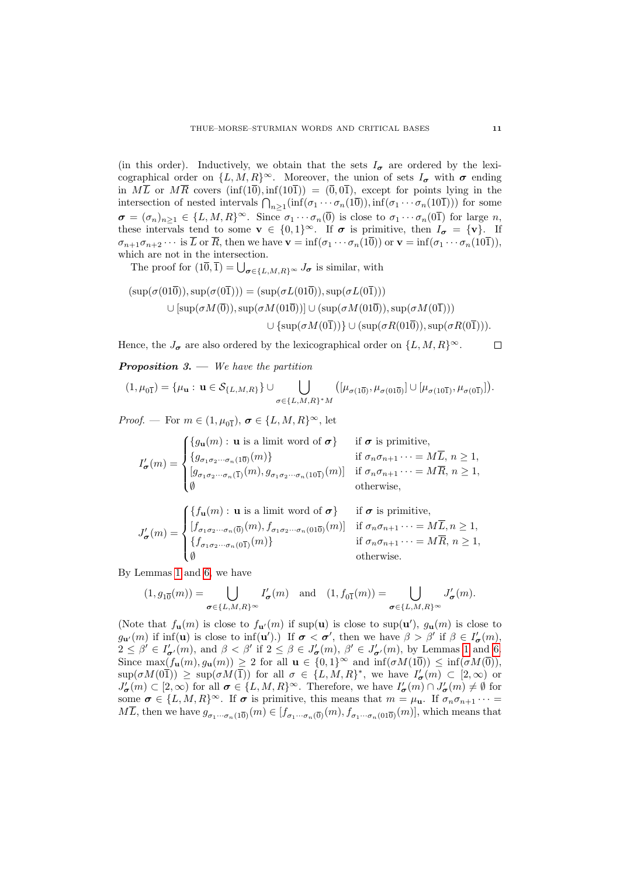(in this order). Inductively, we obtain that the sets  $I_{\sigma}$  are ordered by the lexicographical order on  $\{L, M, R\}^{\infty}$ . Moreover, the union of sets  $I_{\sigma}$  with  $\sigma$  ending in  $M\overline{L}$  or  $M\overline{R}$  covers  $(\inf(1\overline{0}), \inf(10\overline{1})) = (\overline{0}, 0\overline{1}),$  except for points lying in the intersection of nested intervals  $\bigcap_{n\geq 1}(\inf(\sigma_1\cdots\sigma_n(1\overline{0})),\inf(\sigma_1\cdots\sigma_n(10\overline{1})))$  for some  $\sigma = (\sigma_n)_{n \geq 1} \in \{L, M, R\}^{\infty}$ . Since  $\sigma_1 \cdots \sigma_n(\overline{0})$  is close to  $\sigma_1 \cdots \sigma_n(\overline{0})$  for large n, these intervals tend to some  $\mathbf{v} \in \{0,1\}^{\infty}$ . If  $\sigma$  is primitive, then  $I_{\sigma} = {\mathbf{v}}$ . If  $\sigma_{n+1}\sigma_{n+2}\cdots$  is  $\overline{L}$  or  $\overline{R}$ , then we have  $\mathbf{v} = \inf(\sigma_1\cdots\sigma_n(10))$  or  $\mathbf{v} = \inf(\sigma_1\cdots\sigma_n(101))$ , which are not in the intersection.

The proof for  $(1\overline{0}, \overline{1}) = \bigcup_{\sigma \in \{L,M,R\}^{\infty}} J_{\sigma}$  is similar, with

$$
(\sup(\sigma(01\overline{0})), \sup(\sigma(0\overline{1}))) = (\sup(\sigma L(01\overline{0})), \sup(\sigma L(0\overline{1})))
$$
  

$$
\cup [\sup(\sigma M(\overline{0})), \sup(\sigma M(01\overline{0}))] \cup (\sup(\sigma M(01\overline{0})), \sup(\sigma M(0\overline{1})))
$$
  

$$
\cup {\sup(\sigma M(0\overline{1}))} \cup (\sup(\sigma R(01\overline{0})), \sup(\sigma R(0\overline{1}))).
$$

Hence, the  $J_{\sigma}$  are also ordered by the lexicographical order on  $\{L, M, R\}^{\infty}$ .  $\Box$ 

<span id="page-10-0"></span>**Proposition 3.** — We have the partition

$$
(1,\mu_{0\overline{1}}) = {\mu_{\mathbf{u}} : \mathbf{u} \in \mathcal{S}_{\{L,M,R\}}\} \cup \bigcup_{\sigma \in \{L,M,R\}^* M} ([\mu_{\sigma(1\overline{0})}, \mu_{\sigma(01\overline{0})}] \cup [\mu_{\sigma(10\overline{1})}, \mu_{\sigma(0\overline{1})}]).
$$

*Proof.* — For  $m \in (1, \mu_{0\overline{1}}), \sigma \in \{L, M, R\}^{\infty}$ , let

$$
I'_{\sigma}(m) = \begin{cases} \{g_{\mathbf{u}}(m): \mathbf{u} \text{ is a limit word of } \sigma\} & \text{if } \sigma \text{ is primitive,} \\ \{g_{\sigma_1 \sigma_2 \cdots \sigma_n(1\overline{0})}(m)\} & \text{if } \sigma_n \sigma_{n+1} \cdots = M\overline{L}, n \geq 1, \\ [g_{\sigma_1 \sigma_2 \cdots \sigma_n(\overline{1})}(m), g_{\sigma_1 \sigma_2 \cdots \sigma_n(10\overline{1})}(m)] & \text{if } \sigma_n \sigma_{n+1} \cdots = M\overline{R}, n \geq 1, \\ \emptyset & \text{otherwise,} \end{cases}
$$

$$
J'_{\sigma}(m) = \begin{cases} \{f_{\mathbf{u}}(m) : \mathbf{u} \text{ is a limit word of } \sigma\} & \text{if } \sigma \text{ is primitive,} \\ [f_{\sigma_1 \sigma_2 \cdots \sigma_n(\overline{0})}(m), f_{\sigma_1 \sigma_2 \cdots \sigma_n(\overline{0})}(m)] & \text{if } \sigma_n \sigma_{n+1} \cdots = M\overline{L}, n \ge 1, \\ \{f_{\sigma_1 \sigma_2 \cdots \sigma_n(\overline{01})}(m)\} & \text{if } \sigma_n \sigma_{n+1} \cdots = M\overline{R}, n \ge 1, \\ \emptyset & \text{otherwise.} \end{cases}
$$

By Lemmas [1](#page-4-0) and [6,](#page-9-0) we have

$$
(1,g_{1\overline{0}}(m))=\bigcup_{\sigma\in\{L,M,R\}^{\infty}}I'_{\sigma}(m)\quad\text{and}\quad (1,f_{0\overline{1}}(m))=\bigcup_{\sigma\in\{L,M,R\}^{\infty}}J'_{\sigma}(m).
$$

(Note that  $f_{\mathbf{u}}(m)$  is close to  $f_{\mathbf{u}'}(m)$  if sup(**u**) is close to sup(**u**'),  $g_{\mathbf{u}}(m)$  is close to  $g_{\mathbf{u}'}(m)$  if inf(**u**) is close to inf(**u**').) If  $\sigma < \sigma'$ , then we have  $\beta > \beta'$  if  $\beta \in I'_{\sigma}(m)$ ,  $2 \leq \beta' \in I'_{\sigma'}(m)$ , and  $\beta < \beta'$  if  $2 \leq \beta \in J'_{\sigma}(m)$ ,  $\beta' \in J'_{\sigma'}(m)$ , by Lemmas [1](#page-4-0) and [6.](#page-9-0) Since  $\max(f_{\mathbf{u}}(m), g_{\mathbf{u}}(m)) \geq 2$  for all  $\mathbf{u} \in \{0,1\}^{\infty}$  and  $\inf(\sigma M(\overline{10})) \leq \inf(\sigma M(\overline{0})),$  $\sup(\sigma M(0\overline{1})) \geq \sup(\sigma M(\overline{1}))$  for all  $\sigma \in \{L, M, R\}^*$ , we have  $I'_{\sigma}(m) \subset [2, \infty)$  or  $J'_{\sigma}(m) \subset [2,\infty)$  for all  $\sigma \in \{L,M,R\}^{\infty}$ . Therefore, we have  $I'_{\sigma}(m) \cap J'_{\sigma}(m) \neq \emptyset$  for some  $\sigma \in \{L, M, R\}^{\infty}$ . If  $\sigma$  is primitive, this means that  $m = \mu_{\mathbf{u}}$ . If  $\sigma_n \sigma_{n+1} \cdots =$  $M\overline{L}$ , then we have  $g_{\sigma_1\cdots\sigma_n(1\overline{0})}(m) \in [f_{\sigma_1\cdots\sigma_n(\overline{0})}(m), f_{\sigma_1\cdots\sigma_n(01\overline{0})}(m)]$ , which means that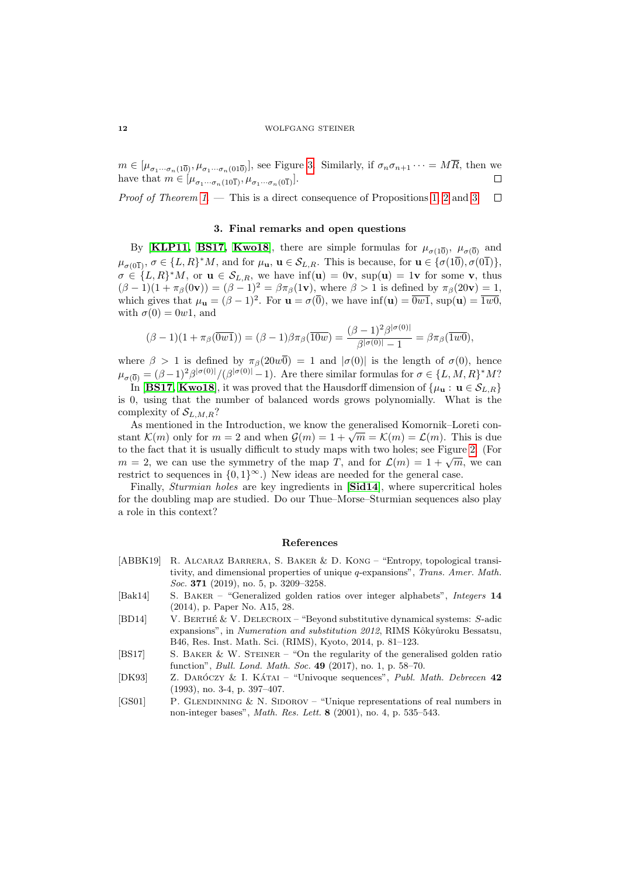$m \in [\mu_{\sigma_1 \cdots \sigma_n(1\overline{0})}, \mu_{\sigma_1 \cdots \sigma_n(01\overline{0})}],$  see Figure [3.](#page-7-0) Similarly, if  $\sigma_n \sigma_{n+1} \cdots = M\overline{R}$ , then we have that  $m \in [\mu_{\sigma_1 \cdots \sigma_n(10\overline{1})}, \mu_{\sigma_1 \cdots \sigma_n(0\overline{1})}].$  $\Box$ 

*Proof of Theorem [1](#page-2-0).* — This is a direct consequence of Propositions [1,](#page-6-1) [2](#page-8-2) and [3.](#page-10-0)  $\Box$ 

## 3. Final remarks and open questions

By [[KLP11,](#page-12-2) [BS17,](#page-11-4) [Kwo18](#page-12-8)], there are simple formulas for  $\mu_{\sigma(10)}$ ,  $\mu_{\sigma(0)}$  and  $\mu_{\sigma(0\overline{1})}, \sigma \in \{L, R\}^*M$ , and for  $\mu_{\mathbf{u}}, \mathbf{u} \in \mathcal{S}_{L,R}$ . This is because, for  $\mathbf{u} \in {\sigma(1\overline{0}), \sigma(0\overline{1})}\}$ ,  $\sigma \in \{L, R\}^* M$ , or  $\mathbf{u} \in \mathcal{S}_{L,R}$ , we have  $\inf(\mathbf{u}) = 0\mathbf{v}$ ,  $\sup(\mathbf{u}) = 1\mathbf{v}$  for some  $\mathbf{v}$ , thus  $(\beta - 1)(1 + \pi_{\beta}(0\mathbf{v})) = (\beta - 1)^2 = \beta \pi_{\beta}(1\mathbf{v})$ , where  $\beta > 1$  is defined by  $\pi_{\beta}(20\mathbf{v}) = 1$ , which gives that  $\mu_{\mathbf{u}} = (\beta - 1)^2$ . For  $\mathbf{u} = \sigma(\overline{0})$ , we have  $\inf(\mathbf{u}) = \overline{0w1}$ ,  $\sup(\mathbf{u}) = \overline{1w0}$ , with  $\sigma(0) = 0w_1$ , and

$$
(\beta - 1)(1 + \pi_{\beta}(\overline{0w1})) = (\beta - 1)\beta\pi_{\beta}(\overline{10w}) = \frac{(\beta - 1)^2 \beta^{|\sigma(0)|}}{\beta^{|\sigma(0)|} - 1} = \beta\pi_{\beta}(\overline{1w0}),
$$

where  $\beta > 1$  is defined by  $\pi_{\beta}(20w\overline{0}) = 1$  and  $|\sigma(0)|$  is the length of  $\sigma(0)$ , hence  $\mu_{\sigma(\overline{0})} = (\beta - 1)^2 \beta^{|\sigma(0)|} / (\beta^{|\sigma(0)|} - 1)$ . Are there similar formulas for  $\sigma \in \{L, M, R\}^* M$ ?

In [[BS17,](#page-11-4) [Kwo18](#page-12-8)], it was proved that the Hausdorff dimension of  $\{\mu_{\mathbf{u}}: \mathbf{u} \in \mathcal{S}_{L,R}\}\$ is 0, using that the number of balanced words grows polynomially. What is the complexity of  $\mathcal{S}_{L,M,R}$ ?

As mentioned in the Introduction, we know the generalised Komornik–Loreti con-As mentioned in the introduction, we know the generalised Nonforma-Loreti constant  $\mathcal{K}(m)$  only for  $m = 2$  and when  $\mathcal{G}(m) = 1 + \sqrt{m} = \mathcal{K}(m) = \mathcal{L}(m)$ . This is due to the fact that it is usually difficult to study maps with two holes; see Figure [2.](#page-4-1) (For to the fact that it is usually difficult to study maps with two holes; see rigure 2. (ror  $m = 2$ , we can use the symmetry of the map T, and for  $\mathcal{L}(m) = 1 + \sqrt{m}$ , we can restrict to sequences in  $\{0,1\}^{\infty}$ .) New ideas are needed for the general case.

Finally, *Sturmian holes* are key ingredients in [[Sid14](#page-12-9)], where supercritical holes for the doubling map are studied. Do our Thue–Morse–Sturmian sequences also play a role in this context?

## References

- <span id="page-11-3"></span>[ABBK19] R. Alcaraz Barrera, S. Baker & D. Kong – "Entropy, topological transitivity, and dimensional properties of unique q-expansions", Trans. Amer. Math. Soc. **371** (2019), no. 5, p. 3209-3258.
- <span id="page-11-2"></span>[Bak14] S. Baker – "Generalized golden ratios over integer alphabets", Integers 14 (2014), p. Paper No. A15, 28.
- <span id="page-11-5"></span>[BD14] V. Berthe´ & V. Delecroix – "Beyond substitutive dynamical systems: S-adic expansions", in Numeration and substitution 2012, RIMS Kôkyûroku Bessatsu, B46, Res. Inst. Math. Sci. (RIMS), Kyoto, 2014, p. 81–123.
- <span id="page-11-4"></span>[BS17] S. Baker & W. Steiner – "On the regularity of the generalised golden ratio function", Bull. Lond. Math. Soc. 49 (2017), no. 1, p. 58–70.
- <span id="page-11-0"></span>[DK93] Z. DARÓCZY & I. KÁTAI – "Univoque sequences", Publ. Math. Debrecen  $42$ (1993), no. 3-4, p. 397–407.
- <span id="page-11-1"></span>[GS01] P. GLENDINNING & N. SIDOROV – "Unique representations of real numbers in non-integer bases", Math. Res. Lett. 8 (2001), no. 4, p. 535–543.